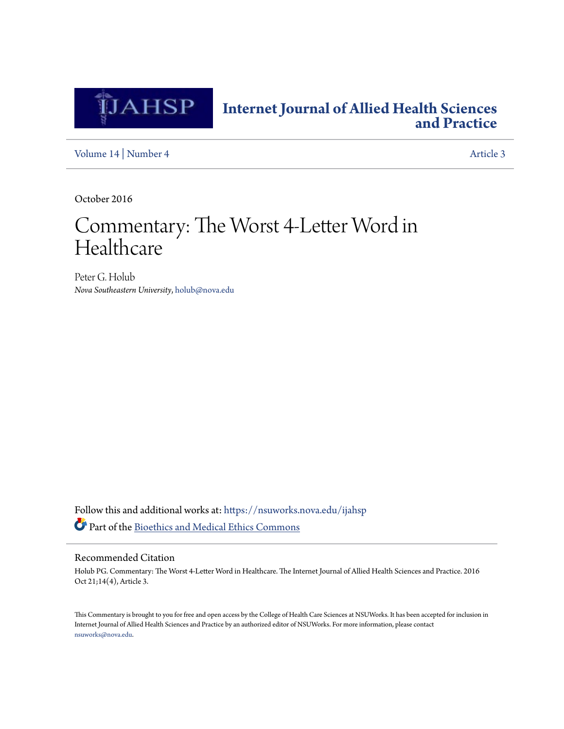

## **[Internet Journal of Allied Health Sciences](https://nsuworks.nova.edu/ijahsp?utm_source=nsuworks.nova.edu%2Fijahsp%2Fvol14%2Fiss4%2F3&utm_medium=PDF&utm_campaign=PDFCoverPages) [and Practice](https://nsuworks.nova.edu/ijahsp?utm_source=nsuworks.nova.edu%2Fijahsp%2Fvol14%2Fiss4%2F3&utm_medium=PDF&utm_campaign=PDFCoverPages)**

[Volume 14](https://nsuworks.nova.edu/ijahsp/vol14?utm_source=nsuworks.nova.edu%2Fijahsp%2Fvol14%2Fiss4%2F3&utm_medium=PDF&utm_campaign=PDFCoverPages) | [Number 4](https://nsuworks.nova.edu/ijahsp/vol14/iss4?utm_source=nsuworks.nova.edu%2Fijahsp%2Fvol14%2Fiss4%2F3&utm_medium=PDF&utm_campaign=PDFCoverPages) [Article 3](https://nsuworks.nova.edu/ijahsp/vol14/iss4/3?utm_source=nsuworks.nova.edu%2Fijahsp%2Fvol14%2Fiss4%2F3&utm_medium=PDF&utm_campaign=PDFCoverPages)

October 2016

# Commentary: The Worst 4-Letter Word in Healthcare

Peter G. Holub *Nova Southeastern University*, holub@nova.edu

Follow this and additional works at: [https://nsuworks.nova.edu/ijahsp](https://nsuworks.nova.edu/ijahsp?utm_source=nsuworks.nova.edu%2Fijahsp%2Fvol14%2Fiss4%2F3&utm_medium=PDF&utm_campaign=PDFCoverPages) Part of the [Bioethics and Medical Ethics Commons](http://network.bepress.com/hgg/discipline/650?utm_source=nsuworks.nova.edu%2Fijahsp%2Fvol14%2Fiss4%2F3&utm_medium=PDF&utm_campaign=PDFCoverPages)

#### Recommended Citation

Holub PG. Commentary: The Worst 4-Letter Word in Healthcare. The Internet Journal of Allied Health Sciences and Practice. 2016 Oct 21;14(4), Article 3.

This Commentary is brought to you for free and open access by the College of Health Care Sciences at NSUWorks. It has been accepted for inclusion in Internet Journal of Allied Health Sciences and Practice by an authorized editor of NSUWorks. For more information, please contact [nsuworks@nova.edu.](mailto:nsuworks@nova.edu)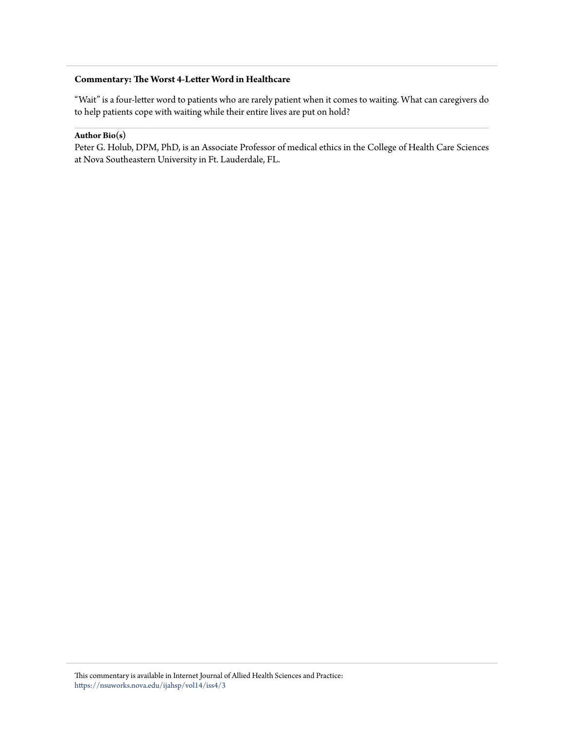## **Commentary: The Worst 4-Letter Word in Healthcare**

"Wait" is a four-letter word to patients who are rarely patient when it comes to waiting. What can caregivers do to help patients cope with waiting while their entire lives are put on hold?

### **Author Bio(s)**

Peter G. Holub, DPM, PhD, is an Associate Professor of medical ethics in the College of Health Care Sciences at Nova Southeastern University in Ft. Lauderdale, FL.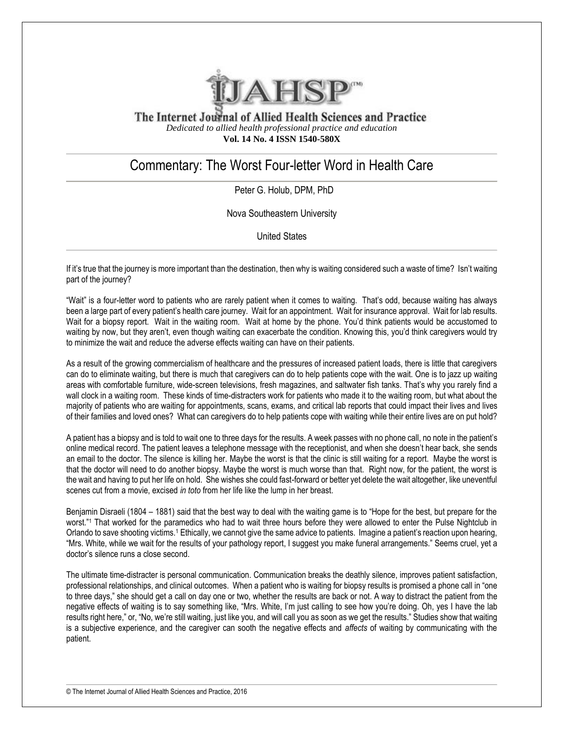

The Internet Journal of Allied Health Sciences and Practice *Dedicated to allied health professional practice and education* **Vol. 14 No. 4 ISSN 1540-580X**

# Commentary: The Worst Four-letter Word in Health Care

Peter G. Holub, DPM, PhD

Nova Southeastern University

United States

If it's true that the journey is more important than the destination, then why is waiting considered such a waste of time? Isn't waiting part of the journey?

"Wait" is a four-letter word to patients who are rarely patient when it comes to waiting. That's odd, because waiting has always been a large part of every patient's health care journey. Wait for an appointment. Wait for insurance approval. Wait for lab results. Wait for a biopsy report. Wait in the waiting room. Wait at home by the phone. You'd think patients would be accustomed to waiting by now, but they aren't, even though waiting can exacerbate the condition. Knowing this, you'd think caregivers would try to minimize the wait and reduce the adverse effects waiting can have on their patients.

As a result of the growing commercialism of healthcare and the pressures of increased patient loads, there is little that caregivers can do to eliminate waiting, but there is much that caregivers can do to help patients cope with the wait. One is to jazz up waiting areas with comfortable furniture, wide-screen televisions, fresh magazines, and saltwater fish tanks. That's why you rarely find a wall clock in a waiting room. These kinds of time-distracters work for patients who made it to the waiting room, but what about the majority of patients who are waiting for appointments, scans, exams, and critical lab reports that could impact their lives and lives of their families and loved ones? What can caregivers do to help patients cope with waiting while their entire lives are on put hold?

A patient has a biopsy and is told to wait one to three days for the results. A week passes with no phone call, no note in the patient's online medical record. The patient leaves a telephone message with the receptionist, and when she doesn't hear back, she sends an email to the doctor. The silence is killing her. Maybe the worst is that the clinic is still waiting for a report. Maybe the worst is that the doctor will need to do another biopsy. Maybe the worst is much worse than that. Right now, for the patient, the worst is the wait and having to put her life on hold. She wishes she could fast-forward or better yet delete the wait altogether, like uneventful scenes cut from a movie, excised *in toto* from her life like the lump in her breast.

Benjamin Disraeli (1804 – 1881) said that the best way to deal with the waiting game is to "Hope for the best, but prepare for the worst."<sup>1</sup> That worked for the paramedics who had to wait three hours before they were allowed to enter the Pulse Nightclub in Orlando to save shooting victims.<sup>1</sup> Ethically, we cannot give the same advice to patients. Imagine a patient's reaction upon hearing, "Mrs. White, while we wait for the results of your pathology report, I suggest you make funeral arrangements." Seems cruel, yet a doctor's silence runs a close second.

The ultimate time-distracter is personal communication. Communication breaks the deathly silence, improves patient satisfaction, professional relationships, and clinical outcomes. When a patient who is waiting for biopsy results is promised a phone call in "one to three days," she should get a call on day one or two, whether the results are back or not. A way to distract the patient from the negative effects of waiting is to say something like, "Mrs. White, I'm just calling to see how you're doing. Oh, yes I have the lab results right here," or, "No, we're still waiting, just like you, and will call you as soon as we get the results." Studies show that waiting is a subjective experience, and the caregiver can sooth the negative effects and *affects* of waiting by communicating with the patient.